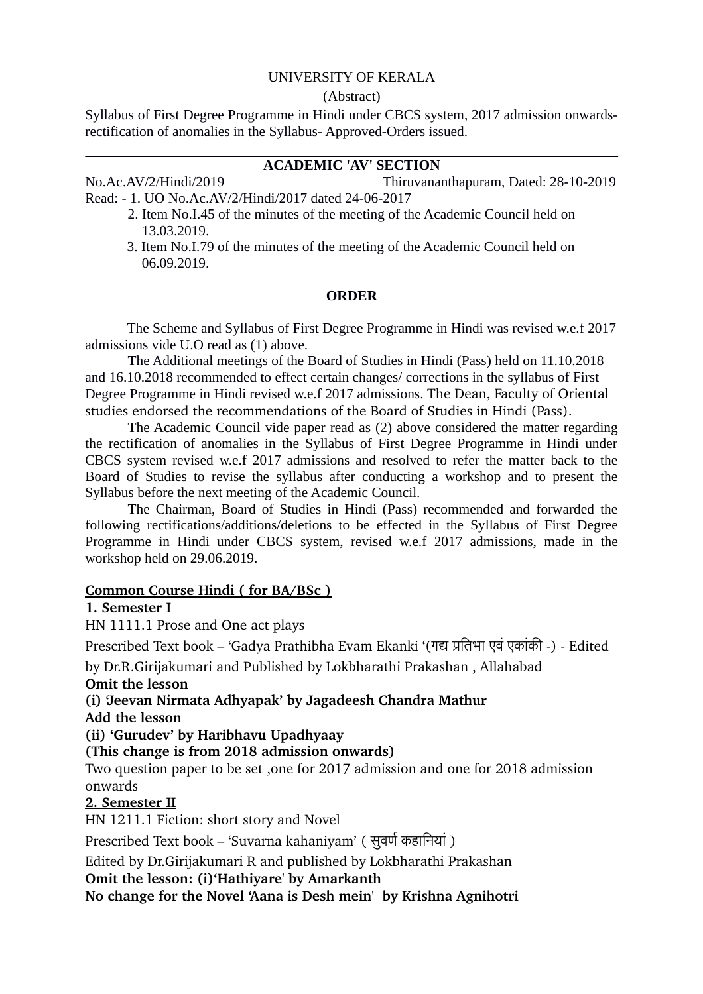### UNIVERSITY OF KERALA

#### (Abstract)

Syllabus of First Degree Programme in Hindi under CBCS system, 2017 admission onwardsrectification of anomalies in the Syllabus- Approved-Orders issued.

## **ACADEMIC 'AV' SECTION**

No.Ac.AV/2/Hindi/2019 Thiruvananthapuram, Dated: 28-10-2019

Read: - 1. UO No.Ac.AV/2/Hindi/2017 dated 24-06-2017

- 2. Item No.I.45 of the minutes of the meeting of the Academic Council held on 13.03.2019.
- 3. Item No.I.79 of the minutes of the meeting of the Academic Council held on 06.09.2019.

#### **ORDER**

The Scheme and Syllabus of First Degree Programme in Hindi was revised w.e.f 2017 admissions vide U.O read as (1) above.

The Additional meetings of the Board of Studies in Hindi (Pass) held on 11.10.2018 and 16.10.2018 recommended to effect certain changes/ corrections in the syllabus of First Degree Programme in Hindi revised w.e.f 2017 admissions. The Dean, Faculty of Oriental studies endorsed the recommendations of the Board of Studies in Hindi (Pass).

The Academic Council vide paper read as (2) above considered the matter regarding the rectification of anomalies in the Syllabus of First Degree Programme in Hindi under CBCS system revised w.e.f 2017 admissions and resolved to refer the matter back to the Board of Studies to revise the syllabus after conducting a workshop and to present the Syllabus before the next meeting of the Academic Council.

The Chairman, Board of Studies in Hindi (Pass) recommended and forwarded the following rectifications/additions/deletions to be effected in the Syllabus of First Degree Programme in Hindi under CBCS system, revised w.e.f 2017 admissions, made in the workshop held on 29.06.2019.

### **Common Course Hindi ( for BA/BSc )**

#### **1. Semester I**

HN 1111.1 Prose and One act plays

Prescribed Text book – 'Gadya Prathibha Evam Ekanki '(गद प्रतितिभा एवं एकांकी ) Edited

by Dr.R.Girijakumari and Published by Lokbharathi Prakashan , Allahabad

### **Omit the lesson**

**(i) 'Jeevan Nirmata Adhyapak' by Jagadeesh Chandra Mathur Add the lesson** 

**(ii) 'Gurudev' by Haribhavu Upadhyaay** 

**(This change is from 2018 admission onwards)**

Two question paper to be set ,one for 2017 admission and one for 2018 admission onwards

### **2. Semester II**

HN 1211.1 Fiction: short story and Novel

Prescribed Text book – 'Suvarna kahaniyam' ( सुवर्ण कहानियां )

Edited by Dr.Girijakumari R and published by Lokbharathi Prakashan

**Omit the lesson: (i)'Hathiyare' by Amarkanth**

**No change for the Novel 'Aana is Desh mein' by Krishna Agnihotri**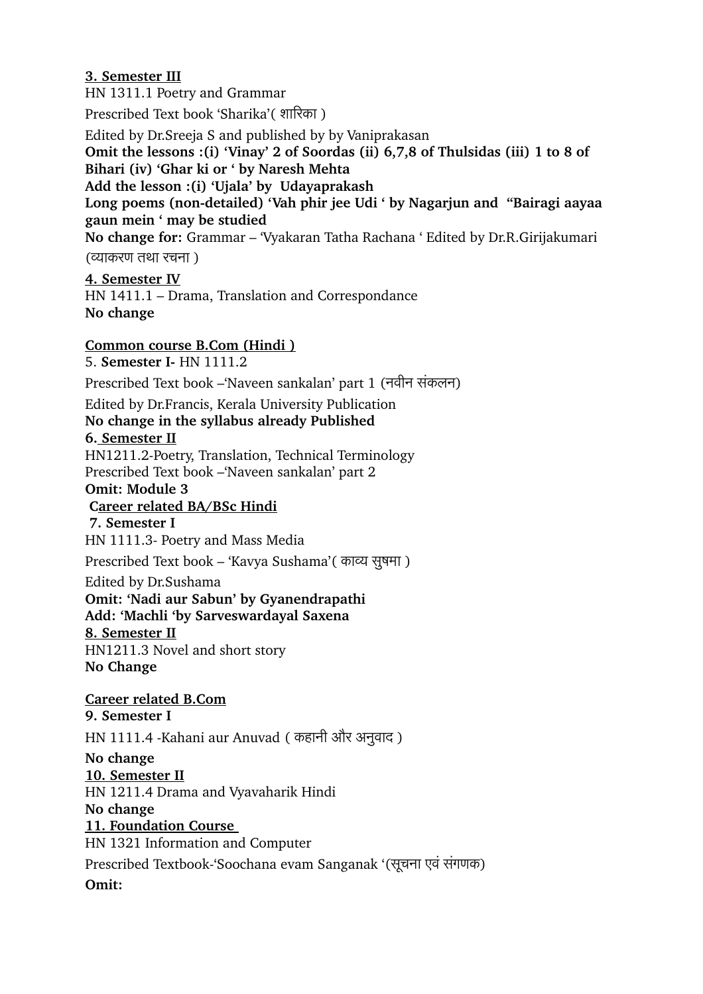## **3. Semester III**

HN 1311.1 Poetry and Grammar

Prescribed Text book 'Sharika'( शािरिका )

Edited by Dr.Sreeja S and published by by Vaniprakasan

**Omit the lessons :(i) 'Vinay' 2 of Soordas (ii) 6,7,8 of Thulsidas (iii) 1 to 8 of Bihari (iv) 'Ghar ki or ' by Naresh Mehta** 

**Add the lesson :(i) 'Ujala' by Udayaprakash** 

Long poems (non-detailed) 'Vah phir jee Udi ' by Nagarjun and "Bairagi aayaa **gaun mein ' may be studied** 

**No change for:** Grammar – 'Vyakaran Tatha Rachana ' Edited by Dr.R.Girijakumari (व्याकरिण तिथा रिचनिा )

### **4. Semester IV**

HN 1411.1 – Drama, Translation and Correspondance **No change** 

### **Common course B.Com (Hindi )**

5. **Semester I** HN 1111.2

Prescribed Text book – Naveen sankalan' part 1 (नवीन संकलन)

Edited by Dr.Francis, Kerala University Publication

**No change in the syllabus already Published** 

### **6. Semester II**

HN1211.2-Poetry, Translation, Technical Terminology Prescribed Text book –'Naveen sankalan' part 2

#### **Omit: Module 3**

## **Career related BA/BSc Hindi**

**7. Semester I**

HN 1111.3 Poetry and Mass Media

Prescribed Text book – 'Kavya Sushama'( काव्य सुषमा )

Edited by Dr.Sushama

**Omit: 'Nadi aur Sabun' by Gyanendrapathi**

**Add: 'Machli 'by Sarveswardayal Saxena** 

### **8. Semester II**

HN1211.3 Novel and short story **No Change**

**Career related B.Com 9. Semester I** HN 1111.4 -Kahani aur Anuvad (कहानी और अनुवाद) **No change 10. Semester II** HN 1211.4 Drama and Vyavaharik Hindi **No change 11. Foundation Course**  HN 1321 Information and Computer Prescribed Textbook-'Soochana evam Sanganak '(सूचना एवं संगणक)

**Omit:**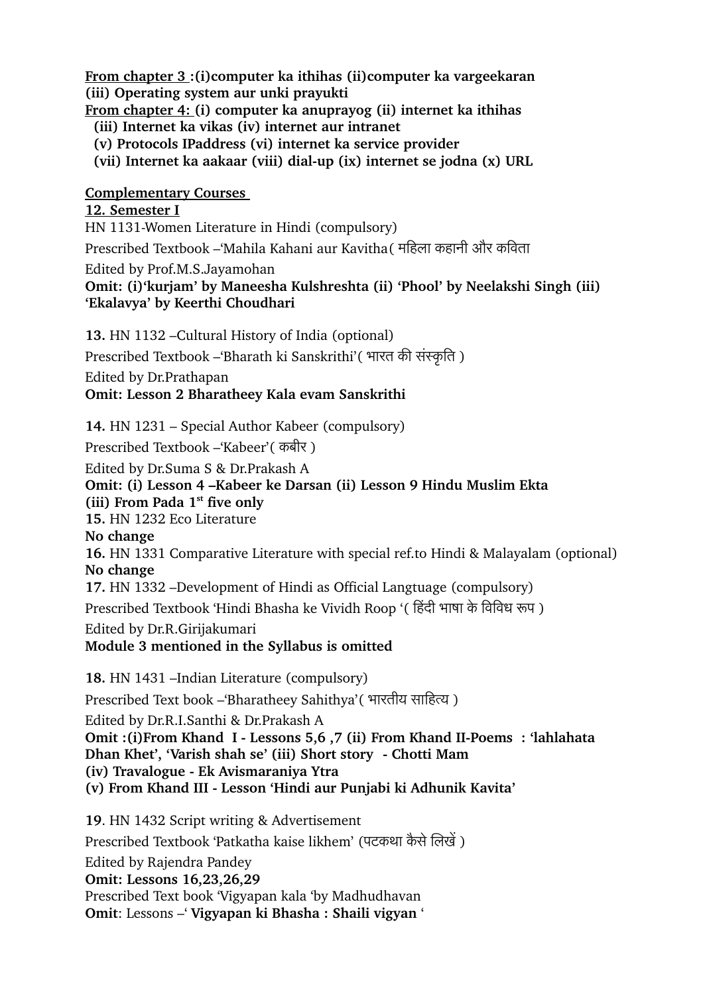**From chapter 3 :(i)computer ka ithihas (ii)computer ka vargeekaran**

**(iii) Operating system aur unki prayukti** 

**From chapter 4: (i) computer ka anuprayog (ii) internet ka ithihas**

 **(iii) Internet ka vikas (iv) internet aur intranet**

 **(v) Protocols IPaddress (vi) internet ka service provider**

 **(vii) Internet ka aakaar (viii) dialup (ix) internet se jodna (x) URL**

**Complementary Courses** 

**12. Semester I** HN 1131-Women Literature in Hindi (compulsory)

Prescribed Textbook –'Mahila Kahani aur Kavitha (महिला कहानी और कविता

Edited by Prof.M.S.Jayamohan

**Omit: (i)'kurjam' by Maneesha Kulshreshta (ii) 'Phool' by Neelakshi Singh (iii) 'Ekalavya' by Keerthi Choudhari**

**13.** HN 1132 –Cultural History of India (optional) Prescribed Textbook –'Bharath ki Sanskrithi'( भारत की संस्कृति) Edited by Dr.Prathapan **Omit: Lesson 2 Bharatheey Kala evam Sanskrithi**

**14.** HN 1231 – Special Author Kabeer (compulsory)

Prescribed Textbook –'Kabeer'( कबीरि )

Edited by Dr.Suma S & Dr.Prakash A **Omit: (i) Lesson 4 –Kabeer ke Darsan (ii) Lesson 9 Hindu Muslim Ekta (iii) From Pada 1st five only 15.** HN 1232 Eco Literature **No change 16.** HN 1331 Comparative Literature with special ref.to Hindi & Malayalam (optional) **No change 17.** HN 1332 –Development of Hindi as Official Langtuage (compulsory) Prescribed Textbook 'Hindi Bhasha ke Vividh Roop '( िहंदी भाषा के िविवध रूप ) Edited by Dr.R.Girijakumari **Module 3 mentioned in the Syllabus is omitted**

**18.** HN 1431 –Indian Literature (compulsory) Prescribed Text book –'Bharatheey Sahithya' (भारतीय साहित्य) Edited by Dr.R.I.Santhi & Dr.Prakash A **Omit :(i)From Khand I - Lessons 5,6 ,7 (ii) From Khand II-Poems : 'lahlahata Dhan Khet', 'Varish shah se' (iii) Short story Chotti Mam (iv) Travalogue Ek Avismaraniya Ytra (v) From Khand III Lesson 'Hindi aur Punjabi ki Adhunik Kavita'**

**19**. HN 1432 Script writing & Advertisement Prescribed Textbook 'Patkatha kaise likhem' (पटकथा कैसे लिखें) Edited by Rajendra Pandey **Omit: Lessons 16,23,26,29** Prescribed Text book 'Vigyapan kala 'by Madhudhavan **Omit**: Lessons –' **Vigyapan ki Bhasha : Shaili vigyan** '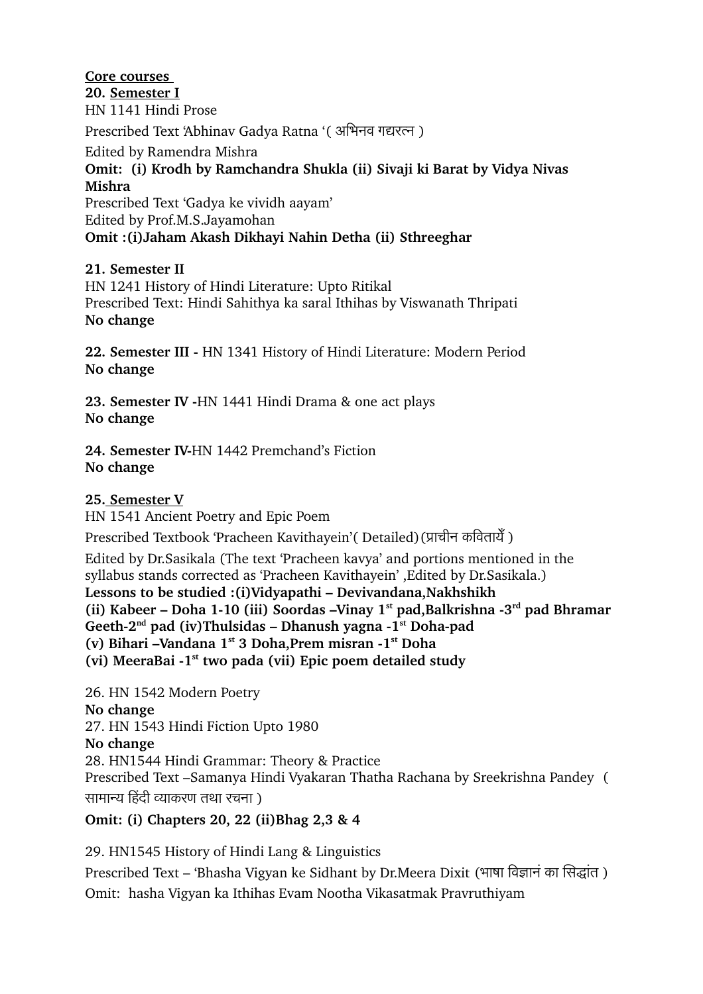### **Core courses**

#### **20. Semester I** HN 1141 Hindi Prose

Prescribed Text 'Abhinav Gadya Ratna '(अभिनव गद्यरत्न)

Edited by Ramendra Mishra

## **Omit: (i) Krodh by Ramchandra Shukla (ii) Sivaji ki Barat by Vidya Nivas Mishra**

Prescribed Text 'Gadya ke vividh aayam' Edited by Prof.M.S.Jayamohan **Omit :(i)Jaham Akash Dikhayi Nahin Detha (ii) Sthreeghar**

## **21. Semester II**

HN 1241 History of Hindi Literature: Upto Ritikal Prescribed Text: Hindi Sahithya ka saral Ithihas by Viswanath Thripati **No change**

22. Semester III - HN 1341 History of Hindi Literature: Modern Period **No change**

23. Semester IV -HN 1441 Hindi Drama & one act plays **No change**

24. Semester **IV-HN 1442 Premchand's Fiction No change**

### **25. Semester V**

HN 1541 Ancient Poetry and Epic Poem

Prescribed Textbook 'Pracheen Kavithayein' (Detailed) (प्राचीन कवितायेँ)

Edited by Dr.Sasikala (The text 'Pracheen kavya' and portions mentioned in the syllabus stands corrected as 'Pracheen Kavithayein' ,Edited by Dr.Sasikala.) **Lessons to be studied :(i)Vidyapathi – Devivandana,Nakhshikh (ii) Kabeer – Doha 110 (iii) Soordas –Vinay 1st pad,Balkrishna 3rd pad Bhramar Geeth2nd pad (iv)Thulsidas – Dhanush yagna 1st Dohapad (v) Bihari –Vandana 1st 3 Doha,Prem misran 1st Doha (vi) MeeraBai 1st two pada (vii) Epic poem detailed study**

26. HN 1542 Modern Poetry **No change** 27. HN 1543 Hindi Fiction Upto 1980 **No change** 28. HN1544 Hindi Grammar: Theory & Practice Prescribed Text –Samanya Hindi Vyakaran Thatha Rachana by Sreekrishna Pandey ( सामान्य हिंदी व्याकरण तथा रचना)

**Omit: (i) Chapters 20, 22 (ii)Bhag 2,3 & 4**

29. HN1545 History of Hindi Lang & Linguistics

Prescribed Text – 'Bhasha Vigyan ke Sidhant by Dr.Meera Dixit (भाषा विज्ञान का सिद्धांत) Omit: hasha Vigyan ka Ithihas Evam Nootha Vikasatmak Pravruthiyam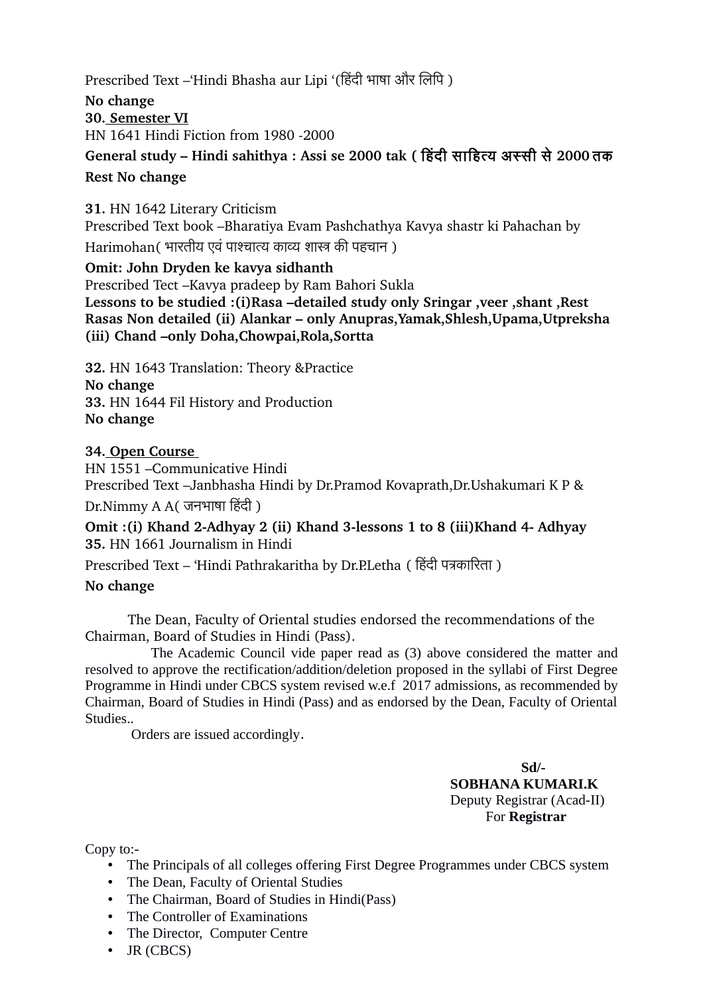Prescribed Text –'Hindi Bhasha aur Lipi '(हिंदी भाषा और लिपि)

**No change 30. Semester VI** HN 1641 Hindi Fiction from 1980 2000

# **General study – Hindi sahithya : Assi se 2000 tak (** िहंदी सािहत्य अस्सी से**2000** तिक **Rest No change**

**31.** HN 1642 Literary Criticism Prescribed Text book –Bharatiya Evam Pashchathya Kavya shastr ki Pahachan by Harimohan (भारतीय एवं पाश्चात्य काव्य शास्त्र की पहचान)

**Omit: John Dryden ke kavya sidhanth** Prescribed Tect –Kavya pradeep by Ram Bahori Sukla **Lessons to be studied :(i)Rasa –detailed study only Sringar ,veer ,shant ,Rest Rasas Non detailed (ii) Alankar – only Anupras,Yamak,Shlesh,Upama,Utpreksha (iii) Chand –only Doha,Chowpai,Rola,Sortta**

**32.** HN 1643 Translation: Theory &Practice

**No change 33.** HN 1644 Fil History and Production **No change**

### **34. Open Course**

HN 1551 –Communicative Hindi Prescribed Text –Janbhasha Hindi by Dr.Pramod Kovaprath,Dr.Ushakumari K P &  $Dr.Nimmy A A$ ( जनभाषा हिंदी)

**Omit :(i) Khand 2-Adhyay 2 (ii) Khand 3-lessons 1 to 8 (iii)Khand 4- Adhyay 35.** HN 1661 Journalism in Hindi

Prescribed Text – 'Hindi Pathrakaritha by Dr.P.Letha ( हिंदी पत्रकारिता)

### **No change**

The Dean, Faculty of Oriental studies endorsed the recommendations of the Chairman, Board of Studies in Hindi (Pass).

 The Academic Council vide paper read as (3) above considered the matter and resolved to approve the rectification/addition/deletion proposed in the syllabi of First Degree Programme in Hindi under CBCS system revised w.e.f 2017 admissions, as recommended by Chairman, Board of Studies in Hindi (Pass) and as endorsed by the Dean, Faculty of Oriental Studies..

Orders are issued accordingly.

 **Sd/- SOBHANA KUMARI.K** Deputy Registrar (Acad-II) For **Registrar**

Copy to:-

- The Principals of all colleges offering First Degree Programmes under CBCS system
- The Dean, Faculty of Oriental Studies
- The Chairman, Board of Studies in Hindi(Pass)
- The Controller of Examinations
- The Director, Computer Centre
- JR (CBCS)